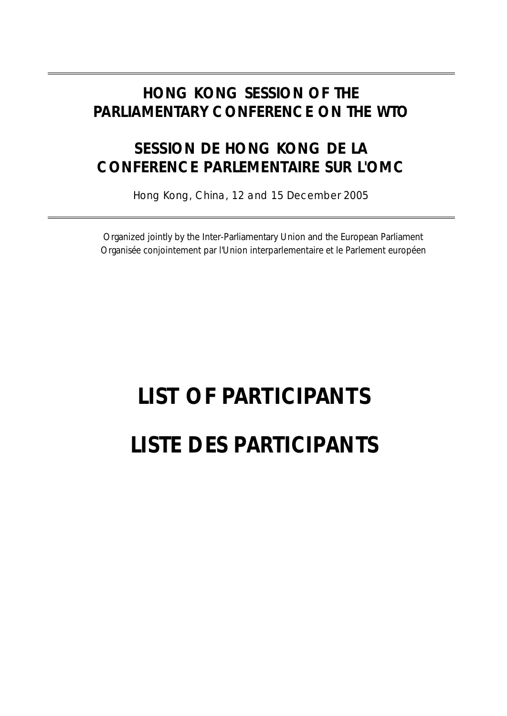### **HONG KONG SESSION OF THE PARLIAMENTARY CONFERENCE ON THE WTO**

### *SESSION DE HONG KONG DE LA CONFERENCE PARLEMENTAIRE SUR L'OMC*

Hong Kong, China, 12 and 15 December 2005

Organized jointly by the Inter-Parliamentary Union and the European Parliament *Organisée conjointement par l'Union interparlementaire et le Parlement européen*

# **LIST OF PARTICIPANTS** *LISTE DES PARTICIPANTS*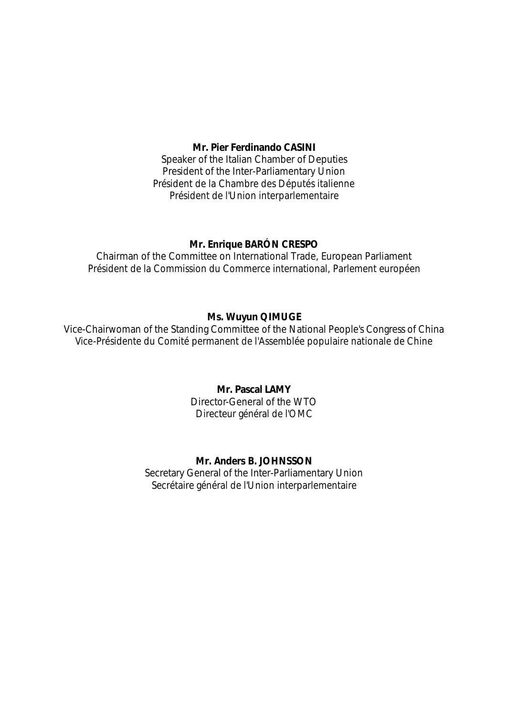### **Mr. Pier Ferdinando CASINI**

Speaker of the Italian Chamber of Deputies President of the Inter-Parliamentary Union *Président de la Chambre des Députés italienne Président de l'Union interparlementaire*

### **Mr. Enrique BARÓN CRESPO**

Chairman of the Committee on International Trade, European Parliament *Président de la Commission du Commerce international, Parlement européen*

### **Ms. Wuyun QIMUGE**

Vice-Chairwoman of the Standing Committee of the National People's Congress of China *Vice-Présidente du Comité permanent de l'Assemblée populaire nationale de Chine*

### **Mr. Pascal LAMY**

Director-General of the WTO *Directeur général de l'OMC*

### **Mr. Anders B. JOHNSSON**

Secretary General of the Inter-Parliamentary Union *Secrétaire général de l'Union interparlementaire*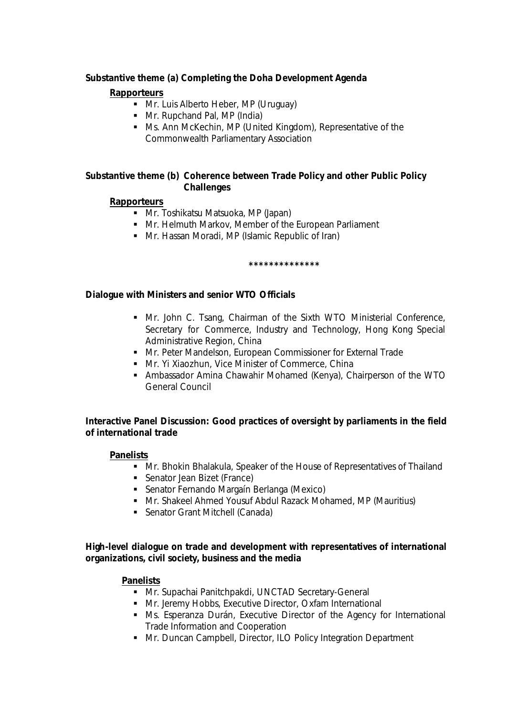### *Substantive theme (a) Completing the Doha Development Agenda*

### **Rapporteurs**

- Mr. Luis Alberto Heber, MP (Uruguay)
- Mr. Rupchand Pal, MP (India)
- Ms. Ann McKechin, MP (United Kingdom), Representative of the Commonwealth Parliamentary Association

### *Substantive theme (b) Coherence between Trade Policy and other Public Policy Challenges*

### **Rapporteurs**

- Mr. Toshikatsu Matsuoka, MP (Japan)
- Mr. Helmuth Markov, Member of the European Parliament
- Mr. Hassan Moradi, MP (Islamic Republic of Iran)

### **\*\*\*\*\*\*\*\*\*\*\*\*\*\***

### *Dialogue with Ministers and senior WTO Officials*

- Mr. John C. Tsang, Chairman of the Sixth WTO Ministerial Conference, Secretary for Commerce, Industry and Technology, Hong Kong Special Administrative Region, China
- **Mr. Peter Mandelson, European Commissioner for External Trade**
- **Mr. Yi Xiaozhun, Vice Minister of Commerce, China**
- **Ambassador Amina Chawahir Mohamed (Kenya), Chairperson of the WTO** General Council

### *Interactive Panel Discussion: Good practices of oversight by parliaments in the field of international trade*

### **Panelists**

- Mr. Bhokin Bhalakula, Speaker of the House of Representatives of Thailand
- **Senator Jean Bizet (France)**
- **Senator Fernando Margaín Berlanga (Mexico)**
- **Mr. Shakeel Ahmed Yousuf Abdul Razack Mohamed, MP (Mauritius)**
- Senator Grant Mitchell (Canada)

### *High-level dialogue on trade and development with representatives of international organizations, civil society, business and the media*

### **Panelists**

- **Mr. Supachai Panitchpakdi, UNCTAD Secretary-General**
- Mr. Jeremy Hobbs, Executive Director, Oxfam International
- Ms. Esperanza Durán, Executive Director of the Agency for International Trade Information and Cooperation
- **Mr. Duncan Campbell, Director, ILO Policy Integration Department**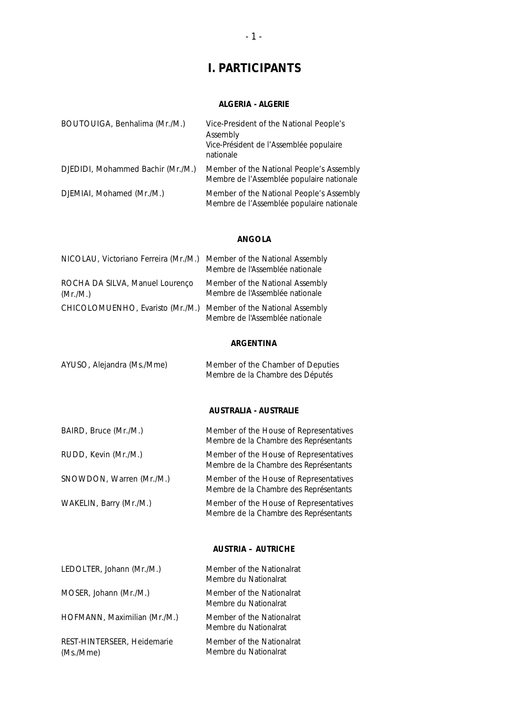### **I. PARTICIPANTS**

### **ALGERIA -** *ALGERIE*

| BOUTOUIGA, Benhalima (Mr./M.)     | Vice-President of the National People's<br>Assembly<br>Vice-Président de l'Assemblée populaire<br>nationale |
|-----------------------------------|-------------------------------------------------------------------------------------------------------------|
| DJEDIDI, Mohammed Bachir (Mr./M.) | Member of the National People's Assembly<br>Membre de l'Assemblée populaire nationale                       |
| DJEMIAI, Mohamed (Mr./M.)         | Member of the National People's Assembly<br>Membre de l'Assemblée populaire nationale                       |

### **ANGOLA**

| NICOLAU, Victoriano Ferreira (Mr./M.) Member of the National Assembly | Membre de l'Assemblée nationale                                    |
|-----------------------------------------------------------------------|--------------------------------------------------------------------|
| ROCHA DA SILVA, Manuel Lourenço<br>(Mr./M.)                           | Member of the National Assembly<br>Membre de l'Assemblée nationale |
| CHICOLOMUENHO, Evaristo (Mr./M.) Member of the National Assembly      | Membre de l'Assemblée nationale                                    |

### **ARGENTINA**

| AYUSO, Alejandra (Ms./Mme) | Member of the Chamber of Deputies |
|----------------------------|-----------------------------------|
|                            | Membre de la Chambre des Députés  |

### **AUSTRALIA -** *AUSTRALIE*

| BAIRD, Bruce (Mr./M.)    | Member of the House of Representatives<br>Membre de la Chambre des Représentants |
|--------------------------|----------------------------------------------------------------------------------|
| RUDD, Kevin (Mr./M.)     | Member of the House of Representatives<br>Membre de la Chambre des Représentants |
| SNOWDON, Warren (Mr./M.) | Member of the House of Representatives<br>Membre de la Chambre des Représentants |
| WAKELIN, Barry (Mr./M.)  | Member of the House of Representatives<br>Membre de la Chambre des Représentants |

### **AUSTRIA –** *AUTRICHE*

| LEDOLTER, Johann (Mr./M.)                | Member of the Nationalrat<br>Membre du Nationalrat |
|------------------------------------------|----------------------------------------------------|
| MOSER, Johann (Mr./M.)                   | Member of the Nationalrat<br>Membre du Nationalrat |
| HOFMANN, Maximilian (Mr./M.)             | Member of the Nationalrat<br>Membre du Nationalrat |
| REST-HINTERSEER, Heidemarie<br>(Ms./Mme) | Member of the Nationalrat<br>Membre du Nationalrat |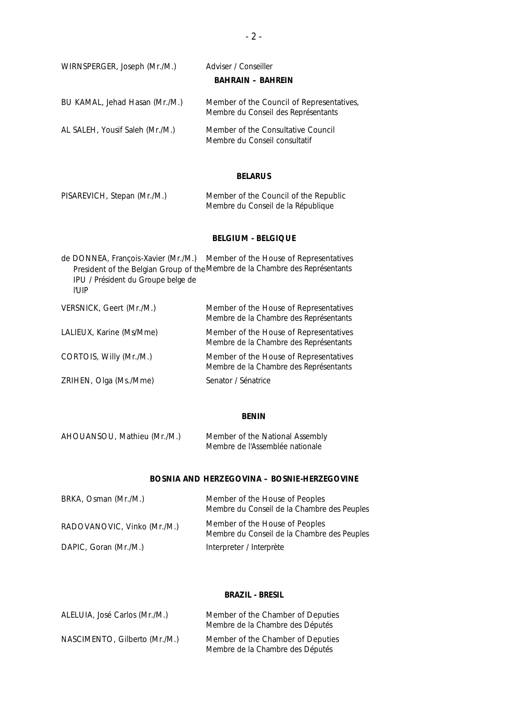| WIRNSPERGER, Joseph (Mr./M.)    | Adviser / Conseiller<br><b>BAHRAIN - BAHREIN</b>                                 |
|---------------------------------|----------------------------------------------------------------------------------|
| BU KAMAL, Jehad Hasan (Mr./M.)  | Member of the Council of Representatives,<br>Membre du Conseil des Représentants |
| AL SALEH, Yousif Saleh (Mr./M.) | Member of the Consultative Council<br>Membre du Conseil consultatif              |

### **BELARUS**

| PISAREVICH, Stepan (Mr./M.) | Member of the Council of the Republic |
|-----------------------------|---------------------------------------|
|                             | Membre du Conseil de la République    |

### **BELGIUM -** *BELGIQUE*

| de DONNEA, François-Xavier (Mr./M.)<br>IPU / Président du Groupe belge de<br>I'l JIP | Member of the House of Representatives<br>President of the Belgian Group of the Membre de la Chambre des Représentants |
|--------------------------------------------------------------------------------------|------------------------------------------------------------------------------------------------------------------------|
| VERSNICK, Geert (Mr./M.)                                                             | Member of the House of Representatives<br>Membre de la Chambre des Représentants                                       |
| LALIEUX, Karine (Ms/Mme)                                                             | Member of the House of Representatives<br>Membre de la Chambre des Représentants                                       |
| CORTOIS, Willy (Mr./M.)                                                              | Member of the House of Representatives<br>Membre de la Chambre des Représentants                                       |
| ZRIHEN, Olga (Ms./Mme)                                                               | Senator / Sénatrice                                                                                                    |

### **BENIN**

| AHOUANSOU, Mathieu (Mr./M.) | Member of the National Assembly |
|-----------------------------|---------------------------------|
|                             | Membre de l'Assemblée nationale |

### **BOSNIA AND HERZEGOVINA –** *BOSNIE-HERZEGOVINE*

| BRKA, Osman (Mr./M.)        | Member of the House of Peoples<br>Membre du Conseil de la Chambre des Peuples |
|-----------------------------|-------------------------------------------------------------------------------|
| RADOVANOVIC, Vinko (Mr./M.) | Member of the House of Peoples<br>Membre du Conseil de la Chambre des Peuples |
| DAPIC, Goran (Mr./M.)       | Interpreter / Interprète                                                      |

### **BRAZIL -** *BRESIL*

| ALELUIA, José Carlos (Mr./M.) | Member of the Chamber of Deputies<br>Membre de la Chambre des Députés |
|-------------------------------|-----------------------------------------------------------------------|
| NASCIMENTO, Gilberto (Mr./M.) | Member of the Chamber of Deputies<br>Membre de la Chambre des Députés |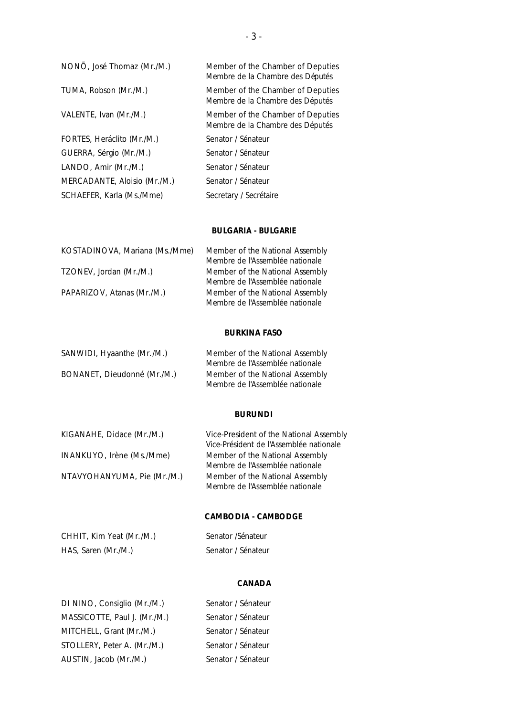| NONO, José Thomaz (Mr./M.)   | Member of the Chamber of Deputies<br>Membre de la Chambre des Députés |
|------------------------------|-----------------------------------------------------------------------|
| TUMA, Robson (Mr./M.)        | Member of the Chamber of Deputies<br>Membre de la Chambre des Députés |
| VALENTE, Ivan (Mr./M.)       | Member of the Chamber of Deputies<br>Membre de la Chambre des Députés |
| FORTES, Heráclito (Mr./M.)   | Senator / Sénateur                                                    |
| GUERRA, Sérgio (Mr./M.)      | Senator / Sénateur                                                    |
| LANDO, Amir (Mr./M.)         | Senator / Sénateur                                                    |
| MERCADANTE, Aloisio (Mr./M.) | Senator / Sénateur                                                    |
| SCHAEFER, Karla (Ms./Mme)    | Secretary / Secrétaire                                                |

### **BULGARIA -** *BULGARIE*

| KOSTADINOVA, Mariana (Ms./Mme) | Member of the National Assembly |
|--------------------------------|---------------------------------|
|                                | Membre de l'Assemblée nationale |
| TZONEV, Jordan (Mr./M.)        | Member of the National Assembly |
|                                | Membre de l'Assemblée nationale |
| PAPARIZOV, Atanas (Mr./M.)     | Member of the National Assembly |
|                                | Membre de l'Assemblée nationale |

### **BURKINA FASO**

| SANWIDI, Hyaanthe (Mr./M.)  | Member of the National Assembly |
|-----------------------------|---------------------------------|
|                             | Membre de l'Assemblée nationale |
| BONANET, Dieudonné (Mr./M.) | Member of the National Assembly |
|                             | Membre de l'Assemblée nationale |

### **BURUNDI**

| KIGANAHE, Didace (Mr./M.)   | Vice-President of the National Assembly |
|-----------------------------|-----------------------------------------|
|                             | Vice-Président de l'Assemblée nationale |
| INANKUYO, Irène (Ms./Mme)   | Member of the National Assembly         |
|                             | Membre de l'Assemblée nationale         |
| NTAVYOHANYUMA, Pie (Mr./M.) | Member of the National Assembly         |
|                             | Membre de l'Assemblée nationale         |

### **CAMBODIA -** *CAMBODGE*

| CHHIT, Kim Yeat (Mr./M.) | Senator / Sénateur |
|--------------------------|--------------------|
| HAS, Saren (Mr./M.)      | Senator / Sénateur |

### **CANADA**

| DI NINO, Consiglio (Mr./M.)  | Senator / Sénateur |
|------------------------------|--------------------|
| MASSICOTTE, Paul J. (Mr./M.) | Senator / Sénateur |
| MITCHELL, Grant (Mr./M.)     | Senator / Sénateur |
| STOLLERY, Peter A. (Mr./M.)  | Senator / Sénateur |
| AUSTIN, Jacob (Mr./M.)       | Senator / Sénateur |

| Senator / Sénateur |
|--------------------|
| Senator / Sénateur |
| Senator / Sénateur |
| Senator / Sénateur |
| Senator / Sénateur |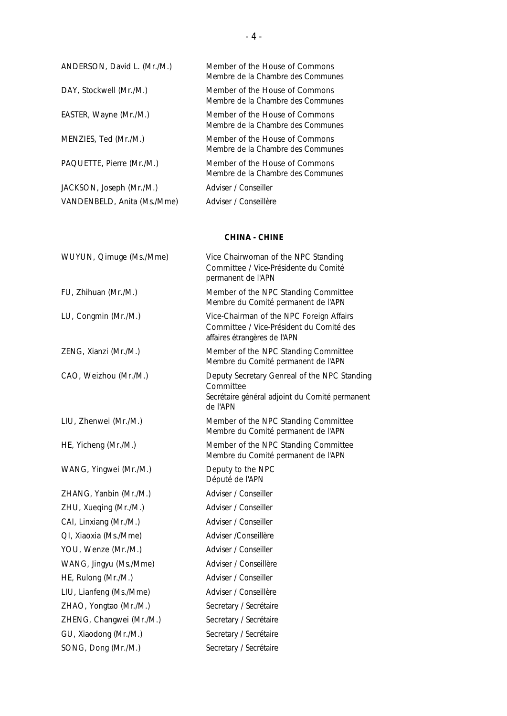| ANDERSON, David L. (Mr./M.) | Member of the House of Commons<br>Membre de la Chambre des Communes |
|-----------------------------|---------------------------------------------------------------------|
| DAY, Stockwell (Mr./M.)     | Member of the House of Commons<br>Membre de la Chambre des Communes |
| EASTER, Wayne (Mr./M.)      | Member of the House of Commons<br>Membre de la Chambre des Communes |
| MENZIES, Ted (Mr./M.)       | Member of the House of Commons<br>Membre de la Chambre des Communes |
| PAQUETTE, Pierre (Mr./M.)   | Member of the House of Commons<br>Membre de la Chambre des Communes |
| JACKSON, Joseph (Mr./M.)    | Adviser / Conseiller                                                |
| VANDENBELD, Anita (Ms./Mme) | Adviser / Conseillère                                               |

### **CHINA -** *CHINE*

| WUYUN, Qimuge (Ms./Mme)  | Vice Chairwoman of the NPC Standing<br>Committee / Vice-Présidente du Comité<br>permanent de l'APN                      |
|--------------------------|-------------------------------------------------------------------------------------------------------------------------|
| FU, Zhihuan (Mr./M.)     | Member of the NPC Standing Committee<br>Membre du Comité permanent de l'APN                                             |
| LU, Congmin (Mr./M.)     | Vice-Chairman of the NPC Foreign Affairs<br>Committee / Vice-Président du Comité des<br>affaires étrangères de l'APN    |
| ZENG, Xianzi (Mr./M.)    | Member of the NPC Standing Committee<br>Membre du Comité permanent de l'APN                                             |
| CAO, Weizhou (Mr./M.)    | Deputy Secretary Genreal of the NPC Standing<br>Committee<br>Secrétaire général adjoint du Comité permanent<br>de l'APN |
| LIU, Zhenwei (Mr./M.)    | Member of the NPC Standing Committee<br>Membre du Comité permanent de l'APN                                             |
| HE, Yicheng (Mr./M.)     | Member of the NPC Standing Committee<br>Membre du Comité permanent de l'APN                                             |
| WANG, Yingwei (Mr./M.)   | Deputy to the NPC<br>Député de l'APN                                                                                    |
| ZHANG, Yanbin (Mr./M.)   | Adviser / Conseiller                                                                                                    |
| ZHU, Xueqing (Mr./M.)    | Adviser / Conseiller                                                                                                    |
| CAI, Linxiang (Mr./M.)   | Adviser / Conseiller                                                                                                    |
| QI, Xiaoxia (Ms./Mme)    | Adviser / Conseillère                                                                                                   |
| YOU, Wenze (Mr./M.)      | Adviser / Conseiller                                                                                                    |
| WANG, Jingyu (Ms./Mme)   | Adviser / Conseillère                                                                                                   |
| HE, Rulong (Mr./M.)      | Adviser / Conseiller                                                                                                    |
| LIU, Lianfeng (Ms./Mme)  | Adviser / Conseillère                                                                                                   |
| ZHAO, Yongtao (Mr./M.)   | Secretary / Secrétaire                                                                                                  |
| ZHENG, Changwei (Mr./M.) | Secretary / Secrétaire                                                                                                  |
| GU, Xiaodong (Mr./M.)    | Secretary / Secrétaire                                                                                                  |
| SONG, Dong (Mr./M.)      | Secretary / Secrétaire                                                                                                  |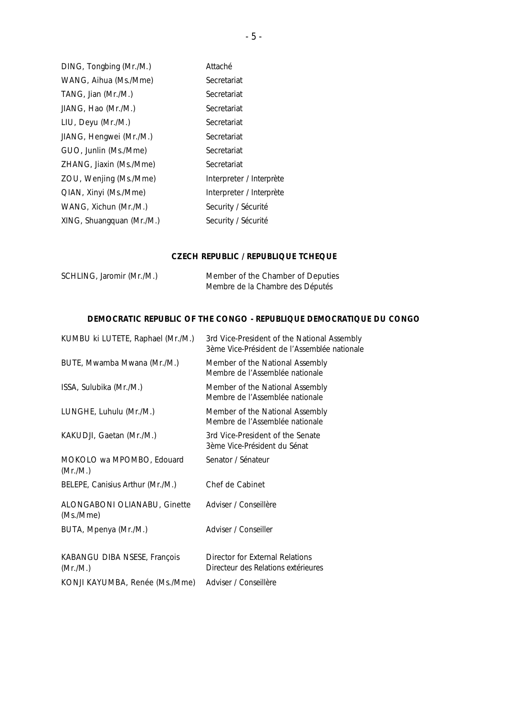| DING, Tongbing (Mr./M.)   | Attaché                  |
|---------------------------|--------------------------|
| WANG, Aihua (Ms./Mme)     | Secretariat              |
| TANG, Jian (Mr./M.)       | Secretariat              |
| JIANG, Hao (Mr./M.)       | Secretariat              |
| LIU, Deyu (Mr./M.)        | Secretariat              |
| JIANG, Hengwei (Mr./M.)   | Secretariat              |
| GUO, Junlin (Ms./Mme)     | Secretariat              |
| ZHANG, Jiaxin (Ms./Mme)   | Secretariat              |
| ZOU, Wenjing (Ms./Mme)    | Interpreter / Interprète |
| QIAN, Xinyi (Ms./Mme)     | Interpreter / Interprète |
| WANG, Xichun (Mr./M.)     | Security / Sécurité      |
| XING, Shuangquan (Mr./M.) | Security / Sécurité      |
|                           |                          |

### **CZECH REPUBLIC /** *REPUBLIQUE TCHEQUE*

| SCHLING, Jaromir (Mr./M.) | Member of the Chamber of Deputies |
|---------------------------|-----------------------------------|
|                           | Membre de la Chambre des Députés  |

### **DEMOCRATIC REPUBLIC OF THE CONGO -** *REPUBLIQUE DEMOCRATIQUE DU CONGO*

| KUMBU ki LUTETE, Raphael (Mr./M.)         | 3rd Vice-President of the National Assembly<br>3ème Vice-Président de l'Assemblée nationale |
|-------------------------------------------|---------------------------------------------------------------------------------------------|
| BUTE, Mwamba Mwana (Mr./M.)               | Member of the National Assembly<br>Membre de l'Assemblée nationale                          |
| ISSA, Sulubika (Mr./M.)                   | Member of the National Assembly<br>Membre de l'Assemblée nationale                          |
| LUNGHE, Luhulu (Mr./M.)                   | Member of the National Assembly<br>Membre de l'Assemblée nationale                          |
| KAKUDJI, Gaetan (Mr./M.)                  | 3rd Vice-President of the Senate<br>3ème Vice-Président du Sénat                            |
| MOKOLO wa MPOMBO, Edouard<br>(Mr./M.)     | Senator / Sénateur                                                                          |
| BELEPE, Canisius Arthur (Mr./M.)          | Chef de Cabinet                                                                             |
| ALONGABONI OLIANABU, Ginette<br>(Ms./Mme) | Adviser / Conseillère                                                                       |
| BUTA, Mpenya (Mr./M.)                     | Adviser / Conseiller                                                                        |
| KABANGU DIBA NSESE, François<br>(Mr./M.)  | Director for External Relations<br>Directeur des Relations extérieures                      |
| KONJI KAYUMBA, Renée (Ms./Mme)            | Adviser / Conseillère                                                                       |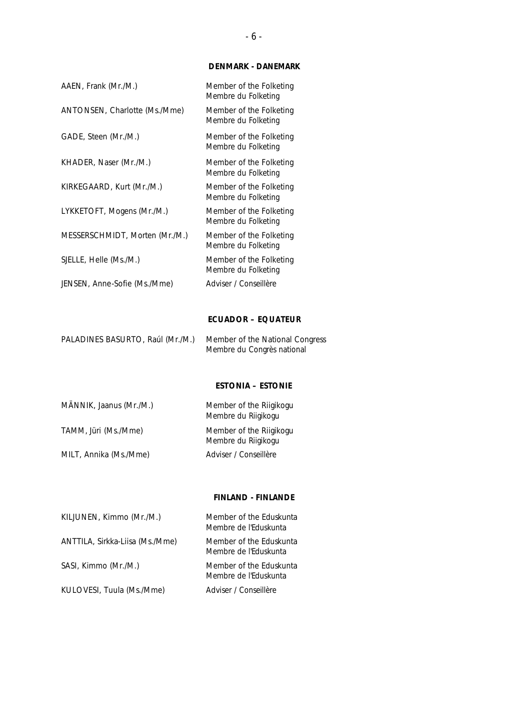### **DENMARK -** *DANEMARK*

| AAEN, Frank (Mr./M.)           | Member of the Folketing<br>Membre du Folketing |
|--------------------------------|------------------------------------------------|
| ANTONSEN, Charlotte (Ms./Mme)  | Member of the Folketing<br>Membre du Folketing |
| GADE, Steen (Mr./M.)           | Member of the Folketing<br>Membre du Folketing |
| KHADER, Naser (Mr./M.)         | Member of the Folketing<br>Membre du Folketing |
| KIRKEGAARD, Kurt (Mr./M.)      | Member of the Folketing<br>Membre du Folketing |
| LYKKETOFT, Mogens (Mr./M.)     | Member of the Folketing<br>Membre du Folketing |
| MESSERSCHMIDT, Morten (Mr./M.) | Member of the Folketing<br>Membre du Folketing |
| SJELLE, Helle (Ms./M.)         | Member of the Folketing<br>Membre du Folketing |
| JENSEN, Anne-Sofie (Ms./Mme)   | Adviser / Conseillère                          |

### **ECUADOR –** *EQUATEUR*

| PALADINES BASURTO, Raúl (Mr./M.) | Member of the National Congress |
|----------------------------------|---------------------------------|
|                                  | Membre du Congrès national      |

### **ESTONIA –** *ESTONIE*

| MÄNNIK, Jaanus (Mr./M.) | Member of the Riigikogu<br>Membre du Riigikogu |
|-------------------------|------------------------------------------------|
| TAMM, Jüri (Ms./Mme)    | Member of the Riigikogu<br>Membre du Riigikogu |
| MILT, Annika (Ms./Mme)  | Adviser / Conseillère                          |

### **FINLAND -** *FINLANDE*

| KILJUNEN, Kimmo (Mr./M.)        | Member of the Eduskunta<br>Membre de l'Eduskunta |
|---------------------------------|--------------------------------------------------|
| ANTTILA, Sirkka-Liisa (Ms./Mme) | Member of the Eduskunta<br>Membre de l'Eduskunta |
| SASI, Kimmo (Mr./M.)            | Member of the Eduskunta<br>Membre de l'Eduskunta |
| KULOVESI, Tuula (Ms./Mme)       | Adviser / Conseillère                            |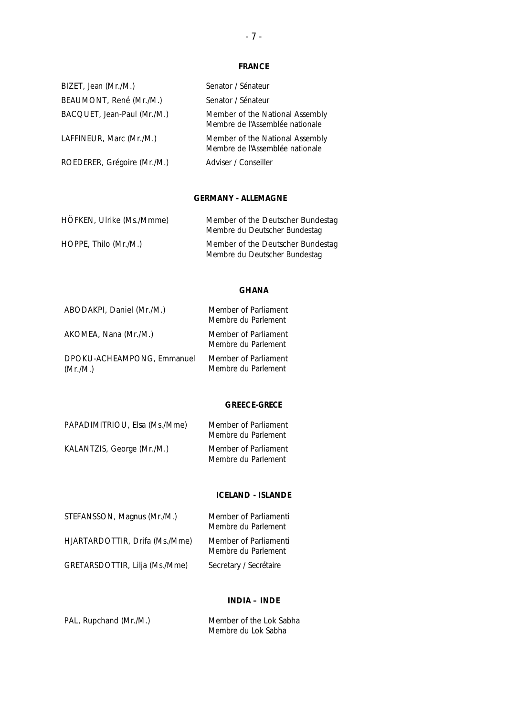### **FRANCE**

| BIZET, Jean (Mr./M.)        | Senator / Sénateur                                                 |
|-----------------------------|--------------------------------------------------------------------|
| BEAUMONT, René (Mr./M.)     | Senator / Sénateur                                                 |
| BACQUET, Jean-Paul (Mr./M.) | Member of the National Assembly<br>Membre de l'Assemblée nationale |
| LAFFINEUR, Marc (Mr./M.)    | Member of the National Assembly<br>Membre de l'Assemblée nationale |
| ROEDERER, Grégoire (Mr./M.) | Adviser / Conseiller                                               |

### **GERMANY -** *ALLEMAGNE*

| HÖFKEN, Ulrike (Ms./Mmme) | Member of the Deutscher Bundestag<br>Membre du Deutscher Bundestag |
|---------------------------|--------------------------------------------------------------------|
| HOPPE, Thilo (Mr./M.)     | Member of the Deutscher Bundestag<br>Membre du Deutscher Bundestag |

### **GHANA**

| ABODAKPI, Daniel (Mr./M.)              | Member of Parliament<br>Membre du Parlement |
|----------------------------------------|---------------------------------------------|
| AKOMEA, Nana (Mr./M.)                  | Member of Parliament<br>Membre du Parlement |
| DPOKU-ACHEAMPONG, Emmanuel<br>(Mr./M.) | Member of Parliament<br>Membre du Parlement |

### **GREECE-***GRECE*

| PAPADIMITRIOU, Elsa (Ms./Mme) | Member of Parliament<br>Membre du Parlement |
|-------------------------------|---------------------------------------------|
| KALANTZIS, George (Mr./M.)    | Member of Parliament<br>Membre du Parlement |

### **ICELAND - ISLANDE**

| STEFANSSON, Magnus (Mr./M.)    | Member of Parliamenti<br>Membre du Parlement |
|--------------------------------|----------------------------------------------|
| HJARTARDOTTIR, Drifa (Ms./Mme) | Member of Parliamenti<br>Membre du Parlement |
| GRETARSDOTTIR, Lilja (Ms./Mme) | Secretary / Secrétaire                       |

### **INDIA –** *INDE*

| PAL, Rupchand (Mr./M.) | Member of the Lok Sabha |
|------------------------|-------------------------|
|                        | Membre du Lok Sabha     |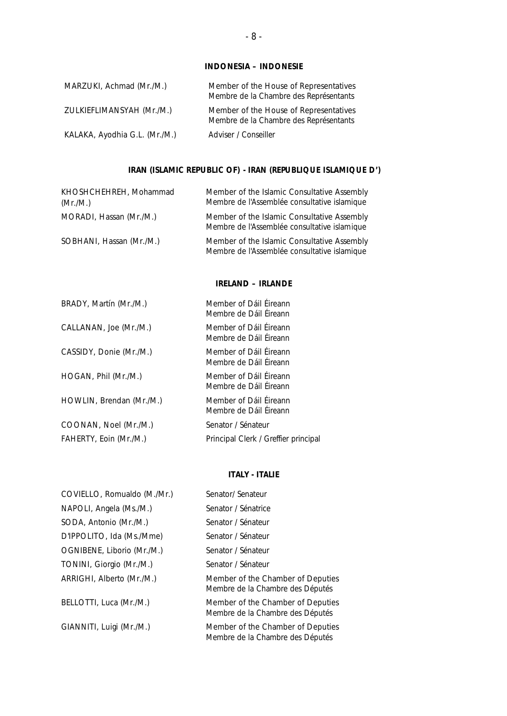### **INDONESIA –** *INDONESIE*

| MARZUKI, Achmad (Mr./M.)      | Member of the House of Representatives<br>Membre de la Chambre des Représentants |
|-------------------------------|----------------------------------------------------------------------------------|
| ZULKIEFLIMANSYAH (Mr./M.)     | Member of the House of Representatives<br>Membre de la Chambre des Représentants |
| KALAKA, Ayodhia G.L. (Mr./M.) | Adviser / Conseiller                                                             |

### **IRAN (ISLAMIC REPUBLIC OF) -** *IRAN (REPUBLIQUE ISLAMIQUE D')*

| KHOSHCHEHREH, Mohammad<br>(Mr./M.) | Member of the Islamic Consultative Assembly<br>Membre de l'Assemblée consultative islamique |
|------------------------------------|---------------------------------------------------------------------------------------------|
| MORADI, Hassan (Mr./M.)            | Member of the Islamic Consultative Assembly<br>Membre de l'Assemblée consultative islamique |
| SOBHANI, Hassan (Mr./M.)           | Member of the Islamic Consultative Assembly<br>Membre de l'Assemblée consultative islamique |

### **IRELAND –** *IRLANDE*

| BRADY, Martín (Mr./M.)   | Member of Dáil Éireann<br>Membre de Dáil Éireann |
|--------------------------|--------------------------------------------------|
| CALLANAN, Joe (Mr./M.)   | Member of Dáil Éireann<br>Membre de Dáil Éireann |
| CASSIDY, Donie (Mr./M.)  | Member of Dáil Éireann<br>Membre de Dáil Éireann |
| HOGAN, Phil (Mr./M.)     | Member of Dáil Éireann<br>Membre de Dáil Éireann |
| HOWLIN, Brendan (Mr./M.) | Member of Dáil Éireann<br>Membre de Dáil Éireann |
| COONAN, Noel (Mr./M.)    | Senator / Sénateur                               |
| FAHERTY, Eoin (Mr./M.)   | Principal Clerk / Greffier principal             |
|                          |                                                  |

### **ITALY -** *ITALIE*

| COVIELLO, Romualdo (M./Mr.) | Senator/ Senateur                                                     |
|-----------------------------|-----------------------------------------------------------------------|
| NAPOLI, Angela (Ms./M.)     | Senator / Sénatrice                                                   |
| SODA, Antonio (Mr./M.)      | Senator / Sénateur                                                    |
| D'IPPOLITO, Ida (Ms./Mme)   | Senator / Sénateur                                                    |
| OGNIBENE, Liborio (Mr./M.)  | Senator / Sénateur                                                    |
| TONINI, Giorgio (Mr./M.)    | Senator / Sénateur                                                    |
| ARRIGHI, Alberto (Mr./M.)   | Member of the Chamber of Deputies<br>Membre de la Chambre des Députés |
| BELLOTTI, Luca (Mr./M.)     | Member of the Chamber of Deputies<br>Membre de la Chambre des Députés |
| GIANNITI, Luigi (Mr./M.)    | Member of the Chamber of Deputies<br>Membre de la Chambre des Députés |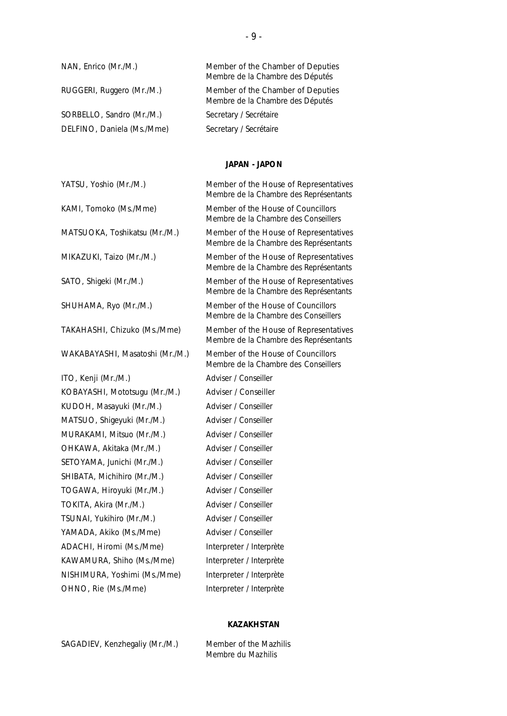| NAN, Enrico (Mr./M.)       | Member of the Chamber of Deputies<br>Membre de la Chambre des Députés |
|----------------------------|-----------------------------------------------------------------------|
| RUGGERI, Ruggero (Mr./M.)  | Member of the Chamber of Deputies<br>Membre de la Chambre des Députés |
| SORBELLO, Sandro (Mr./M.)  | Secretary / Secrétaire                                                |
| DELFINO, Daniela (Ms./Mme) | Secretary / Secrétaire                                                |

### **JAPAN -** *JAPON*

| YATSU, Yoshio (Mr./M.)          | Member of the House of Representatives<br>Membre de la Chambre des Représentants |
|---------------------------------|----------------------------------------------------------------------------------|
| KAMI, Tomoko (Ms./Mme)          | Member of the House of Councillors<br>Membre de la Chambre des Conseillers       |
| MATSUOKA, Toshikatsu (Mr./M.)   | Member of the House of Representatives<br>Membre de la Chambre des Représentants |
| MIKAZUKI, Taizo (Mr./M.)        | Member of the House of Representatives<br>Membre de la Chambre des Représentants |
| SATO, Shigeki (Mr./M.)          | Member of the House of Representatives<br>Membre de la Chambre des Représentants |
| SHUHAMA, Ryo (Mr./M.)           | Member of the House of Councillors<br>Membre de la Chambre des Conseillers       |
| TAKAHASHI, Chizuko (Ms./Mme)    | Member of the House of Representatives<br>Membre de la Chambre des Représentants |
| WAKABAYASHI, Masatoshi (Mr./M.) | Member of the House of Councillors<br>Membre de la Chambre des Conseillers       |
| ITO, Kenji (Mr./M.)             | Adviser / Conseiller                                                             |
| KOBAYASHI, Mototsugu (Mr./M.)   | Adviser / Conseiller                                                             |
| KUDOH, Masayuki (Mr./M.)        | Adviser / Conseiller                                                             |
| MATSUO, Shigeyuki (Mr./M.)      | Adviser / Conseiller                                                             |
| MURAKAMI, Mitsuo (Mr./M.)       | Adviser / Conseiller                                                             |
| OHKAWA, Akitaka (Mr./M.)        | Adviser / Conseiller                                                             |
| SETOYAMA, Junichi (Mr./M.)      | Adviser / Conseiller                                                             |
| SHIBATA, Michihiro (Mr./M.)     | Adviser / Conseiller                                                             |
| TOGAWA, Hiroyuki (Mr./M.)       | Adviser / Conseiller                                                             |
| TOKITA, Akira (Mr./M.)          | Adviser / Conseiller                                                             |
| TSUNAI, Yukihiro (Mr./M.)       | Adviser / Conseiller                                                             |
| YAMADA, Akiko (Ms./Mme)         | Adviser / Conseiller                                                             |
| ADACHI, Hiromi (Ms./Mme)        | Interpreter / Interprète                                                         |
| KAWAMURA, Shiho (Ms./Mme)       | Interpreter / Interprète                                                         |
| NISHIMURA, Yoshimi (Ms./Mme)    | Interpreter / Interprète                                                         |
| OHNO, Rie (Ms./Mme)             | Interpreter / Interprète                                                         |
|                                 |                                                                                  |

### **KAZAKHSTAN**

SAGADIEV, Kenzhegaliy (Mr./M.) Member of the Mazhilis

*Membre du Mazhilis*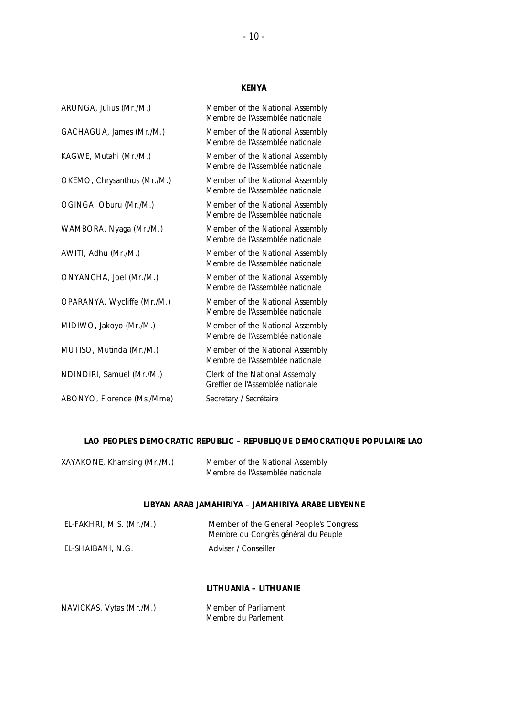### **KENYA**

| ARUNGA, Julius (Mr./M.)     | Member of the National Assembly<br>Membre de l'Assemblée nationale  |
|-----------------------------|---------------------------------------------------------------------|
| GACHAGUA, James (Mr./M.)    | Member of the National Assembly<br>Membre de l'Assemblée nationale  |
| KAGWE, Mutahi (Mr./M.)      | Member of the National Assembly<br>Membre de l'Assemblée nationale  |
| OKEMO, Chrysanthus (Mr./M.) | Member of the National Assembly<br>Membre de l'Assemblée nationale  |
| OGINGA, Oburu (Mr./M.)      | Member of the National Assembly<br>Membre de l'Assemblée nationale  |
| WAMBORA, Nyaga (Mr./M.)     | Member of the National Assembly<br>Membre de l'Assemblée nationale  |
| AWITI, Adhu (Mr./M.)        | Member of the National Assembly<br>Membre de l'Assemblée nationale  |
| ONYANCHA, Joel (Mr./M.)     | Member of the National Assembly<br>Membre de l'Assemblée nationale  |
| OPARANYA, Wycliffe (Mr./M.) | Member of the National Assembly<br>Membre de l'Assemblée nationale  |
| MIDIWO, Jakoyo (Mr./M.)     | Member of the National Assembly<br>Membre de l'Assemblée nationale  |
| MUTISO, Mutinda (Mr./M.)    | Member of the National Assembly<br>Membre de l'Assemblée nationale  |
| NDINDIRI, Samuel (Mr./M.)   | Clerk of the National Assembly<br>Greffier de l'Assemblée nationale |
| ABONYO, Florence (Ms./Mme)  | Secretary / Secrétaire                                              |
|                             |                                                                     |

### **LAO PEOPLE'S DEMOCRATIC REPUBLIC –** *REPUBLIQUE DEMOCRATIQUE POPULAIRE LAO*

| XAYAKONE, Khamsing (Mr./M.) | Member of the National Assembly |
|-----------------------------|---------------------------------|
|                             | Membre de l'Assemblée nationale |

### **LIBYAN ARAB JAMAHIRIYA –** *JAMAHIRIYA ARABE LIBYENNE*

| EL-FAKHRI, M.S. (Mr./M.) | Member of the General People's Congress<br>Membre du Congrès général du Peuple |
|--------------------------|--------------------------------------------------------------------------------|
| EL-SHAIBANI, N.G.        | Adviser / Conseiller                                                           |

### **LITHUANIA –** *LITHUANIE*

| NAVICKAS, Vytas (Mr./M.) | Member of Parliament |
|--------------------------|----------------------|
|                          | Membre du Parlement  |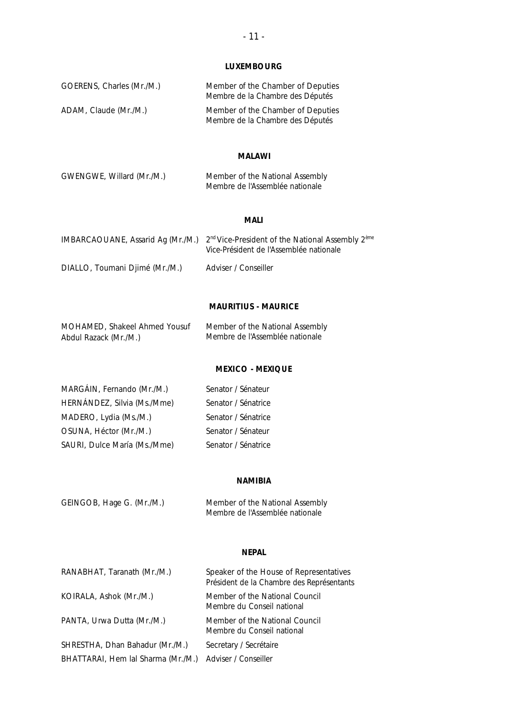## **LUXEMBOURG**

| GOERENS, Charles (Mr./M.) | Member of the Chamber of Deputies<br>Membre de la Chambre des Députés |
|---------------------------|-----------------------------------------------------------------------|
| ADAM, Claude (Mr./M.)     | Member of the Chamber of Deputies<br>Membre de la Chambre des Députés |

### **MALAWI**

| GWENGWE, Willard (Mr./M.) | Member of the National Assembly |
|---------------------------|---------------------------------|
|                           | Membre de l'Assemblée nationale |

### **MALI**

|                                | IMBARCAOUANE, Assarid Ag (Mr./M.) $2nd$ Vice-President of the National Assembly $23$ <sup>eme</sup><br>Vice-Président de l'Assemblée nationale |
|--------------------------------|------------------------------------------------------------------------------------------------------------------------------------------------|
| DIALLO, Toumani Djimé (Mr./M.) | Adviser / Conseiller                                                                                                                           |

### **MAURITIUS - MAURICE**

| MOHAMED, Shakeel Ahmed Yousuf | Member of the National Assembly |
|-------------------------------|---------------------------------|
| Abdul Razack (Mr./M.)         | Membre de l'Assemblée nationale |

### **MEXICO -** *MEXIQUE*

| MARGÁIN, Fernando (Mr./M.)   | Senator / Sénateur  |
|------------------------------|---------------------|
| HERNÁNDEZ, Silvia (Ms./Mme)  | Senator / Sénatrice |
| MADERO, Lydia (Ms./M.)       | Senator / Sénatrice |
| OSUNA, Héctor (Mr./M.)       | Senator / Sénateur  |
| SAURI, Dulce María (Ms./Mme) | Senator / Sénatrice |

### **NAMIBIA**

| GEINGOB, Hage G. (Mr./M.) | Member of the National Assembly |
|---------------------------|---------------------------------|
|                           | Membre de l'Assemblée nationale |

### **NEPAL**

| RANABHAT, Taranath (Mr./M.)        | Speaker of the House of Representatives<br>Président de la Chambre des Représentants |
|------------------------------------|--------------------------------------------------------------------------------------|
| KOIRALA, Ashok (Mr./M.)            | Member of the National Council<br>Membre du Conseil national                         |
| PANTA, Urwa Dutta (Mr./M.)         | Member of the National Council<br>Membre du Conseil national                         |
| SHRESTHA, Dhan Bahadur (Mr./M.)    | Secretary / Secrétaire                                                               |
| BHATTARAI, Hem lal Sharma (Mr./M.) | Adviser / Conseiller                                                                 |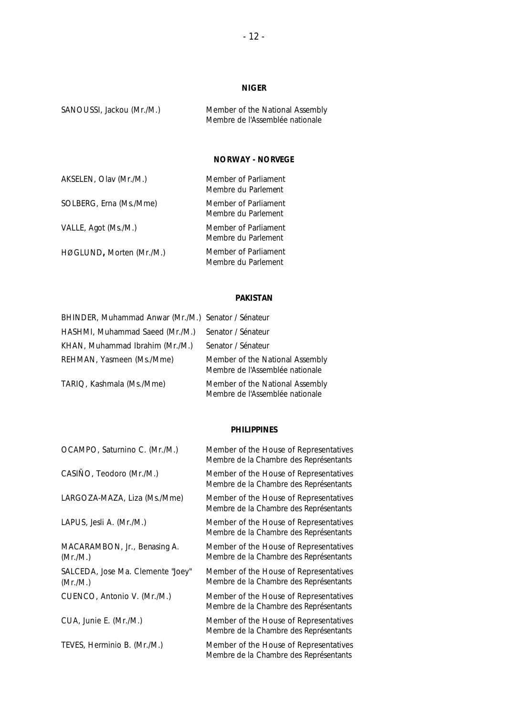### **NIGER**

SANOUSSI, Jackou (Mr./M.) Member of the National Assembly *Membre de l'Assemblée nationale*

### **NORWAY -** *NORVEGE*

| AKSELEN, Olav (Mr./M.)   | Member of Parliament<br>Membre du Parlement |
|--------------------------|---------------------------------------------|
| SOLBERG, Erna (Ms./Mme)  | Member of Parliament<br>Membre du Parlement |
| VALLE, Agot (Ms./M.)     | Member of Parliament<br>Membre du Parlement |
| HØGLUND, Morten (Mr./M.) | Member of Parliament<br>Membre du Parlement |

### **PAKISTAN**

| BHINDER, Muhammad Anwar (Mr./M.) Senator / Sénateur |                                                                    |
|-----------------------------------------------------|--------------------------------------------------------------------|
| HASHMI, Muhammad Saeed (Mr./M.)                     | Senator / Sénateur                                                 |
| KHAN, Muhammad Ibrahim (Mr./M.)                     | Senator / Sénateur                                                 |
| REHMAN, Yasmeen (Ms./Mme)                           | Member of the National Assembly<br>Membre de l'Assemblée nationale |
| TARIQ, Kashmala (Ms./Mme)                           | Member of the National Assembly<br>Membre de l'Assemblée nationale |

#### **PHILIPPINES**

| Member of the House of Representatives<br>Membre de la Chambre des Représentants |
|----------------------------------------------------------------------------------|
| Member of the House of Representatives<br>Membre de la Chambre des Représentants |
| Member of the House of Representatives<br>Membre de la Chambre des Représentants |
| Member of the House of Representatives<br>Membre de la Chambre des Représentants |
| Member of the House of Representatives<br>Membre de la Chambre des Représentants |
| Member of the House of Representatives<br>Membre de la Chambre des Représentants |
| Member of the House of Representatives<br>Membre de la Chambre des Représentants |
| Member of the House of Representatives<br>Membre de la Chambre des Représentants |
| Member of the House of Representatives<br>Membre de la Chambre des Représentants |
|                                                                                  |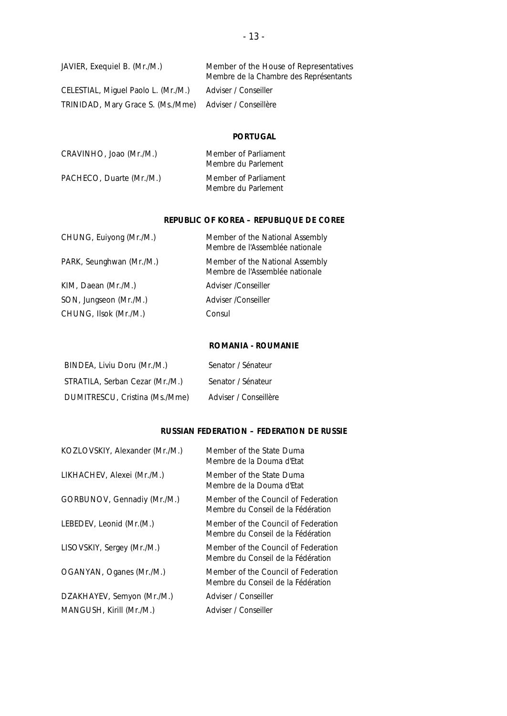| JAVIER, Exequiel B. (Mr./M.)        | Member of the House of Representatives<br>Membre de la Chambre des Représentants |
|-------------------------------------|----------------------------------------------------------------------------------|
| CELESTIAL, Miguel Paolo L. (Mr./M.) | Adviser / Conseiller                                                             |
| TRINIDAD, Mary Grace S. (Ms./Mme)   | Adviser / Conseillère                                                            |

### **PORTUGAL**

| CRAVINHO, Joao (Mr./M.)  | Member of Parliament<br>Membre du Parlement |
|--------------------------|---------------------------------------------|
| PACHECO, Duarte (Mr./M.) | Member of Parliament<br>Membre du Parlement |

### **REPUBLIC OF KOREA –** *REPUBLIQUE DE COREE*

| CHUNG, Euiyong (Mr./M.)  | Member of the National Assembly<br>Membre de l'Assemblée nationale |
|--------------------------|--------------------------------------------------------------------|
| PARK, Seunghwan (Mr./M.) | Member of the National Assembly<br>Membre de l'Assemblée nationale |
| KIM, Daean (Mr./M.)      | Adviser / Conseiller                                               |
| SON, Jungseon (Mr./M.)   | Adviser / Conseiller                                               |
| CHUNG, Ilsok (Mr./M.)    | Consul                                                             |
|                          |                                                                    |

### **ROMANIA -** *ROUMANIE*

| BINDEA, Liviu Doru (Mr./M.)     | Senator / Sénateur    |
|---------------------------------|-----------------------|
| STRATILA, Serban Cezar (Mr./M.) | Senator / Sénateur    |
| DUMITRESCU, Cristina (Ms./Mme)  | Adviser / Conseillère |

### **RUSSIAN FEDERATION –** *FEDERATION DE RUSSIE*

| KOZLOVSKIY, Alexander (Mr./M.) | Member of the State Duma<br>Membre de la Douma d'Etat                     |
|--------------------------------|---------------------------------------------------------------------------|
| LIKHACHEV, Alexei (Mr./M.)     | Member of the State Duma<br>Membre de la Douma d'Etat                     |
| GORBUNOV, Gennadiy (Mr./M.)    | Member of the Council of Federation<br>Membre du Conseil de la Fédération |
| LEBEDEV, Leonid (Mr.(M.)       | Member of the Council of Federation<br>Membre du Conseil de la Fédération |
| LISOVSKIY, Sergey (Mr./M.)     | Member of the Council of Federation<br>Membre du Conseil de la Fédération |
| OGANYAN, Oganes (Mr./M.)       | Member of the Council of Federation<br>Membre du Conseil de la Fédération |
| DZAKHAYEV, Semyon (Mr./M.)     | Adviser / Conseiller                                                      |
| MANGUSH, Kirill (Mr./M.)       | Adviser / Conseiller                                                      |
|                                |                                                                           |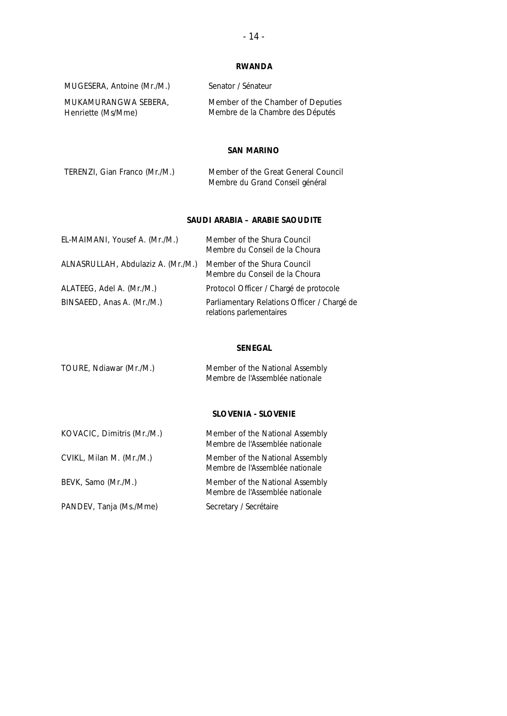### **RWANDA**

| MUGESERA, Antoine (Mr./M.) | Senator / Sénateur                |
|----------------------------|-----------------------------------|
| MUKAMURANGWA SEBERA.       | Member of the Chamber of Deputies |
| Henriette (Ms/Mme)         | Membre de la Chambre des Députés  |

### **SAN MARINO**

| TERENZI, Gian Franco (Mr./M.) | Member of the Great General Council |
|-------------------------------|-------------------------------------|
|                               | Membre du Grand Conseil général     |

### **SAUDI ARABIA –** *ARABIE SAOUDITE*

| EL-MAIMANI, Yousef A. (Mr./M.)     | Member of the Shura Council<br>Membre du Conseil de la Choura           |
|------------------------------------|-------------------------------------------------------------------------|
| ALNASRULLAH, Abdulaziz A. (Mr./M.) | Member of the Shura Council<br>Membre du Conseil de la Choura           |
| ALATEEG, Adel A. (Mr./M.)          | Protocol Officer / Chargé de protocole                                  |
| BINSAEED, Anas A. (Mr./M.)         | Parliamentary Relations Officer / Chargé de<br>relations parlementaires |

### **SENEGAL**

| TOURE, Ndiawar (Mr./M.) | Member of the National Assembly |
|-------------------------|---------------------------------|
|                         | Membre de l'Assemblée nationale |

### **SLOVENIA -** *SLOVENIE*

| KOVACIC, Dimitris (Mr./M.) | Member of the National Assembly<br>Membre de l'Assemblée nationale |
|----------------------------|--------------------------------------------------------------------|
| CVIKL, Milan M. (Mr./M.)   | Member of the National Assembly<br>Membre de l'Assemblée nationale |
| BEVK, Samo (Mr./M.)        | Member of the National Assembly<br>Membre de l'Assemblée nationale |
| PANDEV, Tanja (Ms./Mme)    | Secretary / Secrétaire                                             |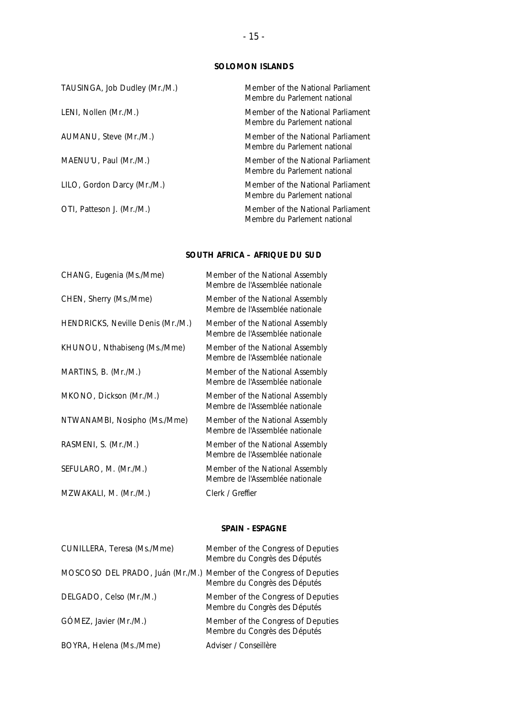### **SOLOMON ISLANDS**

| TAUSINGA, Job Dudley (Mr./M.) | Member of the National Parliament<br>Membre du Parlement national |
|-------------------------------|-------------------------------------------------------------------|
| LENI, Nollen (Mr./M.)         | Member of the National Parliament<br>Membre du Parlement national |
| AUMANU, Steve (Mr./M.)        | Member of the National Parliament<br>Membre du Parlement national |
| MAENU'U, Paul (Mr./M.)        | Member of the National Parliament<br>Membre du Parlement national |
| LILO, Gordon Darcy (Mr./M.)   | Member of the National Parliament<br>Membre du Parlement national |
| OTI, Patteson J. (Mr./M.)     | Member of the National Parliament<br>Membre du Parlement national |

### **SOUTH AFRICA –** *AFRIQUE DU SUD*

| CHANG, Eugenia (Ms./Mme)          | Member of the National Assembly<br>Membre de l'Assemblée nationale |
|-----------------------------------|--------------------------------------------------------------------|
| CHEN, Sherry (Ms./Mme)            | Member of the National Assembly<br>Membre de l'Assemblée nationale |
| HENDRICKS, Neville Denis (Mr./M.) | Member of the National Assembly<br>Membre de l'Assemblée nationale |
| KHUNOU, Nthabiseng (Ms./Mme)      | Member of the National Assembly<br>Membre de l'Assemblée nationale |
| MARTINS, B. (Mr./M.)              | Member of the National Assembly<br>Membre de l'Assemblée nationale |
| MKONO, Dickson (Mr./M.)           | Member of the National Assembly<br>Membre de l'Assemblée nationale |
| NTWANAMBI, Nosipho (Ms./Mme)      | Member of the National Assembly<br>Membre de l'Assemblée nationale |
| RASMENI, S. (Mr./M.)              | Member of the National Assembly<br>Membre de l'Assemblée nationale |
| SEFULARO, M. (Mr./M.)             | Member of the National Assembly<br>Membre de l'Assemblée nationale |
| MZWAKALI, M. (Mr./M.)             | Clerk / Greffier                                                   |

### **SPAIN -** *ESPAGNE*

| CUNILLERA, Teresa (Ms./Mme)                                         | Member of the Congress of Deputies<br>Membre du Congrès des Députés |
|---------------------------------------------------------------------|---------------------------------------------------------------------|
| MOSCOSO DEL PRADO, Juán (Mr./M.) Member of the Congress of Deputies | Membre du Congrès des Députés                                       |
| DELGADO, Celso (Mr./M.)                                             | Member of the Congress of Deputies<br>Membre du Congrès des Députés |
| GÓMEZ, Javier (Mr./M.)                                              | Member of the Congress of Deputies<br>Membre du Congrès des Députés |
| BOYRA, Helena (Ms./Mme)                                             | Adviser / Conseillère                                               |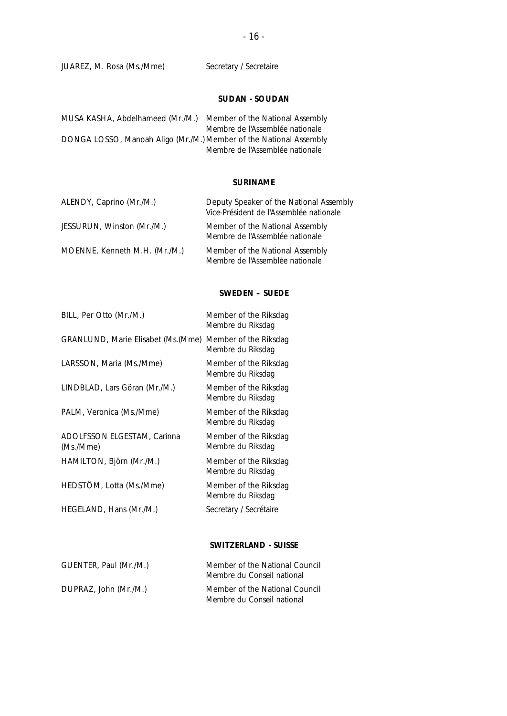### JUAREZ, M. Rosa (Ms./Mme) Secretary / Secretaire

### **SUDAN -** *SOUDAN*

| MUSA KASHA, Abdelhameed (Mr./M.)                                   | Member of the National Assembly |
|--------------------------------------------------------------------|---------------------------------|
|                                                                    | Membre de l'Assemblée nationale |
| DONGA LOSSO, Manoah Aligo (Mr./M.) Member of the National Assembly |                                 |
|                                                                    | Membre de l'Assemblée nationale |

### **SURINAME**

| ALENDY, Caprino (Mr./M.)      | Deputy Speaker of the National Assembly<br>Vice-Président de l'Assemblée nationale |
|-------------------------------|------------------------------------------------------------------------------------|
| JESSURUN, Winston (Mr./M.)    | Member of the National Assembly<br>Membre de l'Assemblée nationale                 |
| MOENNE, Kenneth M.H. (Mr./M.) | Member of the National Assembly<br>Membre de l'Assemblée nationale                 |

### **SWEDEN –** *SUEDE*

| BILL, Per Otto (Mr./M.)                  | Member of the Riksdag<br>Membre du Riksdag |
|------------------------------------------|--------------------------------------------|
| GRANLUND, Marie Elisabet (Ms. (Mme)      | Member of the Riksdag<br>Membre du Riksdag |
| LARSSON, Maria (Ms./Mme)                 | Member of the Riksdag<br>Membre du Riksdag |
| LINDBLAD, Lars Göran (Mr./M.)            | Member of the Riksdag<br>Membre du Riksdag |
| PALM, Veronica (Ms./Mme)                 | Member of the Riksdag<br>Membre du Riksdag |
| ADOLFSSON ELGESTAM, Carinna<br>(Ms./Mme) | Member of the Riksdag<br>Membre du Riksdag |
| HAMILTON, Björn (Mr./M.)                 | Member of the Riksdag<br>Membre du Riksdag |
| HEDSTOM, Lotta (Ms./Mme)                 | Member of the Riksdag<br>Membre du Riksdag |
| HEGELAND, Hans (Mr./M.)                  | Secretary / Secrétaire                     |

### **SWITZERLAND -** *SUISSE*

| GUENTER, Paul (Mr./M.) | Member of the National Council<br>Membre du Conseil national |
|------------------------|--------------------------------------------------------------|
| DUPRAZ, John (Mr./M.)  | Member of the National Council<br>Membre du Conseil national |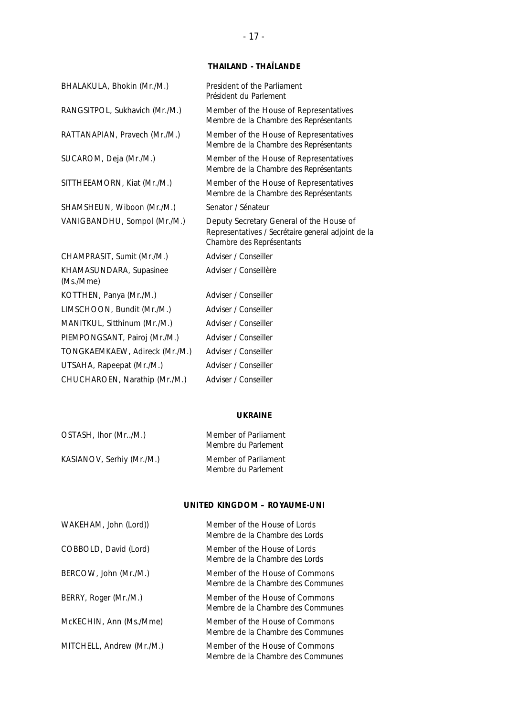### **THAILAND -** *THAÏLANDE*

| BHALAKULA, Bhokin (Mr./M.)           | President of the Parliament<br>Président du Parlement                                                                       |
|--------------------------------------|-----------------------------------------------------------------------------------------------------------------------------|
| RANGSITPOL, Sukhavich (Mr./M.)       | Member of the House of Representatives<br>Membre de la Chambre des Représentants                                            |
| RATTANAPIAN, Pravech (Mr./M.)        | Member of the House of Representatives<br>Membre de la Chambre des Représentants                                            |
| SUCAROM, Deja (Mr./M.)               | Member of the House of Representatives<br>Membre de la Chambre des Représentants                                            |
| SITTHEEAMORN, Kiat (Mr./M.)          | Member of the House of Representatives<br>Membre de la Chambre des Représentants                                            |
| SHAMSHEUN, Wiboon (Mr./M.)           | Senator / Sénateur                                                                                                          |
| VANIGBANDHU, Sompol (Mr./M.)         | Deputy Secretary General of the House of<br>Representatives / Secrétaire general adjoint de la<br>Chambre des Représentants |
| CHAMPRASIT, Sumit (Mr./M.)           | Adviser / Conseiller                                                                                                        |
| KHAMASUNDARA, Supasinee<br>(Ms./Mme) | Adviser / Conseillère                                                                                                       |
| KOTTHEN, Panya (Mr./M.)              | Adviser / Conseiller                                                                                                        |
| LIMSCHOON, Bundit (Mr./M.)           | Adviser / Conseiller                                                                                                        |
| MANITKUL, Sitthinum (Mr./M.)         | Adviser / Conseiller                                                                                                        |
| PIEMPONGSANT, Pairoj (Mr./M.)        | Adviser / Conseiller                                                                                                        |
| TONGKAEMKAEW, Adireck (Mr./M.)       | Adviser / Conseiller                                                                                                        |
| UTSAHA, Rapeepat (Mr./M.)            | Adviser / Conseiller                                                                                                        |
| CHUCHAROEN, Narathip (Mr./M.)        | Adviser / Conseiller                                                                                                        |

### **UKRAINE**

| OSTASH, Ihor (Mr/M.)      | Member of Parliament<br>Membre du Parlement |
|---------------------------|---------------------------------------------|
| KASIANOV, Serhiy (Mr./M.) | Member of Parliament<br>Membre du Parlement |

### **UNITED KINGDOM –** *ROYAUME-UNI*

| WAKEHAM, John (Lord))     | Member of the House of Lords<br>Membre de la Chambre des Lords      |
|---------------------------|---------------------------------------------------------------------|
| COBBOLD, David (Lord)     | Member of the House of Lords<br>Membre de la Chambre des Lords      |
| BERCOW, John (Mr./M.)     | Member of the House of Commons<br>Membre de la Chambre des Communes |
| BERRY, Roger (Mr./M.)     | Member of the House of Commons<br>Membre de la Chambre des Communes |
| McKECHIN, Ann (Ms./Mme)   | Member of the House of Commons<br>Membre de la Chambre des Communes |
| MITCHELL, Andrew (Mr./M.) | Member of the House of Commons<br>Membre de la Chambre des Communes |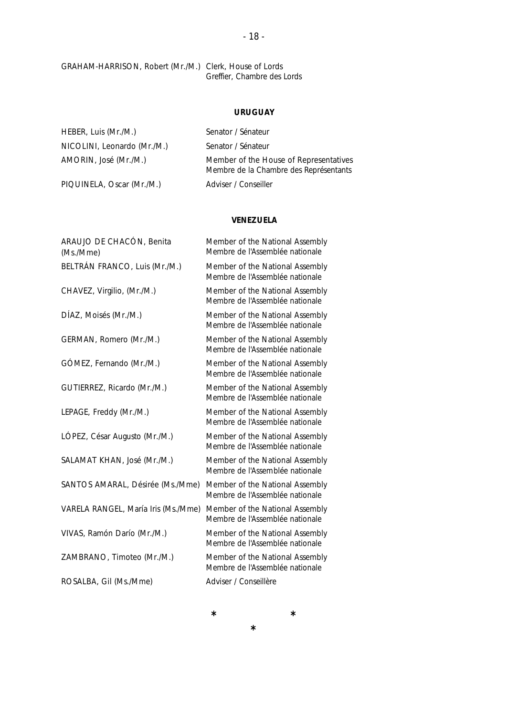GRAHAM-HARRISON, Robert (Mr./M.) Clerk, House of Lords *Greffier, Chambre des Lords*

### **URUGUAY**

| HEBER, Luis (Mr./M.)        | Senator / Sénateur                                                               |
|-----------------------------|----------------------------------------------------------------------------------|
| NICOLINI, Leonardo (Mr./M.) | Senator / Sénateur                                                               |
| AMORIN, José (Mr./M.)       | Member of the House of Representatives<br>Membre de la Chambre des Représentants |
| PIQUINELA, Oscar (Mr./M.)   | Adviser / Conseiller                                                             |

### **VENEZUELA**

| ARAUJO DE CHACÓN, Benita<br>(Ms./Mme) | Member of the National Assembly<br>Membre de l'Assemblée nationale |
|---------------------------------------|--------------------------------------------------------------------|
| BELTRÁN FRANCO, Luis (Mr./M.)         | Member of the National Assembly<br>Membre de l'Assemblée nationale |
| CHAVEZ, Virgilio, (Mr./M.)            | Member of the National Assembly<br>Membre de l'Assemblée nationale |
| DÍAZ, Moisés (Mr./M.)                 | Member of the National Assembly<br>Membre de l'Assemblée nationale |
| GERMAN, Romero (Mr./M.)               | Member of the National Assembly<br>Membre de l'Assemblée nationale |
| GÓMEZ, Fernando (Mr./M.)              | Member of the National Assembly<br>Membre de l'Assemblée nationale |
| GUTIERREZ, Ricardo (Mr./M.)           | Member of the National Assembly<br>Membre de l'Assemblée nationale |
| LEPAGE, Freddy (Mr./M.)               | Member of the National Assembly<br>Membre de l'Assemblée nationale |
| LÓPEZ, César Augusto (Mr./M.)         | Member of the National Assembly<br>Membre de l'Assemblée nationale |
| SALAMAT KHAN, José (Mr./M.)           | Member of the National Assembly<br>Membre de l'Assemblée nationale |
| SANTOS AMARAL, Désirée (Ms./Mme)      | Member of the National Assembly<br>Membre de l'Assemblée nationale |
| VARELA RANGEL, María Iris (Ms./Mme)   | Member of the National Assembly<br>Membre de l'Assemblée nationale |
| VIVAS, Ramón Darío (Mr./M.)           | Member of the National Assembly<br>Membre de l'Assemblée nationale |
| ZAMBRANO, Timoteo (Mr./M.)            | Member of the National Assembly<br>Membre de l'Assemblée nationale |
| ROSALBA, Gil (Ms./Mme)                | Adviser / Conseillère                                              |

**\* \***

**\***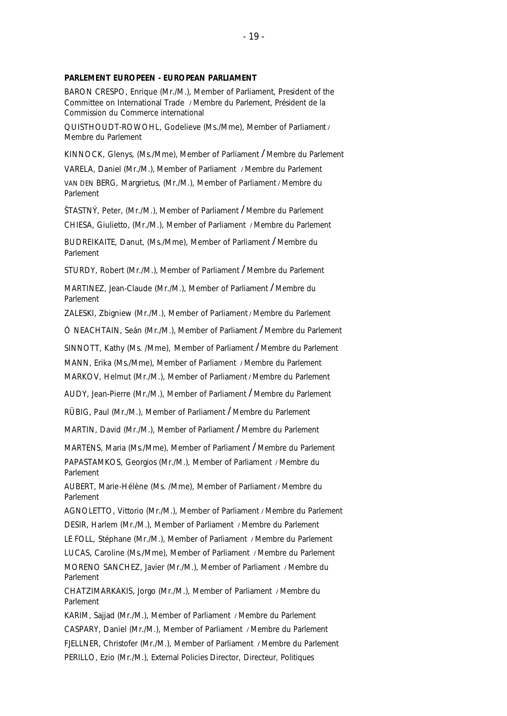#### **PARLEMENT EUROPEEN -** *EUROPEAN PARLIAMENT*

BARON CRESPO, Enrique (Mr./M.), Member of Parliament, President of the Committee on International Trade **/** *Membre du Parlement, Président de la Commission du Commerce international*

QUISTHOUDT-ROWOHL, Godelieve (Ms./Mme), Member of Parliament **/**  *Membre du Parlement*

KINNOCK, Glenys, (Ms./Mme), Member of Parliament **/** *Membre du Parlement*

VARELA, Daniel (Mr./M.), Member of Parliament **/** *Membre du Parlement* VAN DEN BERG, Margrietus, (Mr./M.), Member of Parliament **/** *Membre du Parlement*

ŠTASTNÝ, Peter, (Mr./M.), Member of Parliament **/** *Membre du Parlement*

CHIESA, Giulietto, (Mr./M.), Member of Parliament **/** *Membre du Parlement*

BUDREIKAITE, Danut, (Ms./Mme), Member of Parliament **/** *Membre du Parlement*

STURDY, Robert (Mr./M.), Member of Parliament **/** *Membre du Parlement*

MARTINEZ, Jean-Claude (Mr./M.), Member of Parliament **/** *Membre du Parlement*

ZALESKI, Zbigniew (Mr./M.), Member of Parliament **/** *Membre du Parlement*

Ó NEACHTAIN, Seán (Mr./M.), Member of Parliament **/** *Membre du Parlement*

SINNOTT, Kathy (Ms. /Mme), Member of Parliament **/** *Membre du Parlement* MANN, Erika (Ms./Mme), Member of Parliament **/** *Membre du Parlement* MARKOV, Helmut (Mr./M.), Member of Parliament **/** *Membre du Parlement*

AUDY, Jean-Pierre (Mr./M.), Member of Parliament **/** *Membre du Parlement*

RÜBIG, Paul (Mr./M.), Member of Parliament **/** *Membre du Parlement*

MARTIN, David (Mr./M.), *Member of Parliament* **/** *Membre du Parlement*

MARTENS, Maria (Ms./Mme), Member of Parliament **/** *Membre du Parlement*

PAPASTAMKOS, Georgios (Mr./M.), Member of Parliament **/** *Membre du Parlement*

AUBERT, Marie-Hélène (Ms. /Mme), Member of Parliament **/** *Membre du Parlement*

AGNOLETTO, Vittorio (Mr./M.), Member of Parliament **/** *Membre du Parlement* DESIR, Harlem (Mr./M.), Member of Parliament **/** *Membre du Parlement*

LE FOLL, Stéphane (Mr./M.), Member of Parliament **/** *Membre du Parlement*

LUCAS, Caroline (Ms./Mme), Member of Parliament **/** *Membre du Parlement* MORENO SANCHEZ, Javier (Mr./M.), Member of Parliament **/** *Membre du Parlement*

CHATZIMARKAKIS, Jorgo (Mr./M.), Member of Parliament **/** *Membre du Parlement*

KARIM, Sajjad (Mr./M.), Member of Parliament **/** *Membre du Parlement* CASPARY, Daniel (Mr./M.), Member of Parliament **/** *Membre du Parlement* FJELLNER, Christofer (Mr./M.), Member of Parliament **/** *Membre du Parlement* PERILLO, Ezio (Mr./M.), External Policies Director*, Directeur, Politiques*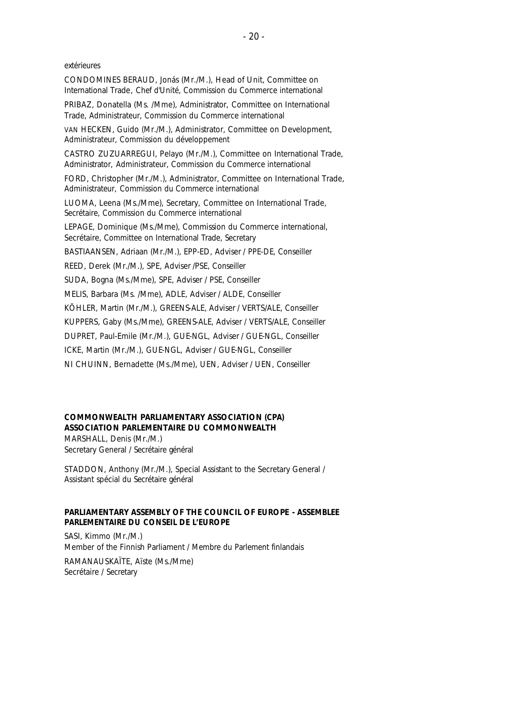#### *extérieures*

CONDOMINES BERAUD, Jonás (Mr./M.), Head of Unit, Committee on International Trade*, Chef d'Unité, Commission du Commerce international* PRIBAZ, Donatella (Ms. /Mme), Administrator, Committee on International Trade, *Administrateur, Commission du Commerce international* VAN HECKEN, Guido (Mr./M.), Administrator, Committee on Development*, Administrateur, Commission du développement* CASTRO ZUZUARREGUI, Pelayo (Mr./M.), Committee on International Trade, Administrator, *Administrateur, Commission du Commerce international* 

FORD, Christopher (Mr./M.), Administrator, Committee on International Trade, *Administrateur, Commission du Commerce international* 

LUOMA, Leena (Ms./Mme), Secretary, Committee on International Trade, *Secrétaire, Commission du Commerce international*

LEPAGE, Dominique (Ms./Mme), Commission du Commerce international, Secrétaire, *Committee on International Trade, Secretary*

BASTIAANSEN, Adriaan (Mr./M.), EPP-ED, Adviser / *PPE-DE, Conseiller*

REED, Derek (Mr./M.), SPE, Adviser /PSE, *Conseiller*

SUDA, Bogna (Ms./Mme), SPE, Advise*r* / PSE, *Conseiller*

MELIS, Barbara (Ms. /Mme), ADLE, Adviser / ALDE, *Conseiller*

KÖHLER, Martin (Mr./M.), GREENS-ALE, Adviser / VERTS/ALE, *Conseiller*

KUPPERS, Gaby (Ms./Mme), GREENS-ALE, Advise*r* / VERTS/ALE, *Conseiller*

DUPRET, Paul-Emile (Mr./M.), GUE-NGL, Adviser / GUE-NGL, *Conseiller*

ICKE, Martin (Mr./M.), GUE-NGL, Adviser / GUE-NGL, *Conseiller*

NI CHUINN, Bernadette (Ms./Mme), UEN, Adviser / UEN, *Conseiller*

### **COMMONWEALTH PARLIAMENTARY ASSOCIATION** *(CPA)*  **ASSOCIATION PARLEMENTAIRE DU COMMONWEALTH**

MARSHALL, Denis (Mr./M.) Secretary General / *Secrétaire général*

STADDON, Anthony (Mr./M.), Special Assistant to the Secretary General */ Assistant spécial du Secrétaire général*

### **PARLIAMENTARY ASSEMBLY OF THE COUNCIL OF EUROPE -** *ASSEMBLEE PARLEMENTAIRE DU CONSEIL DE L'EUROPE*

SASI, Kimmo (Mr./M.) Member of the Finnish Parliament / *Membre du Parlement finlandais* RAMANAUSKAÏTE, Aïste (Ms./Mme) Secrétaire / *Secretary*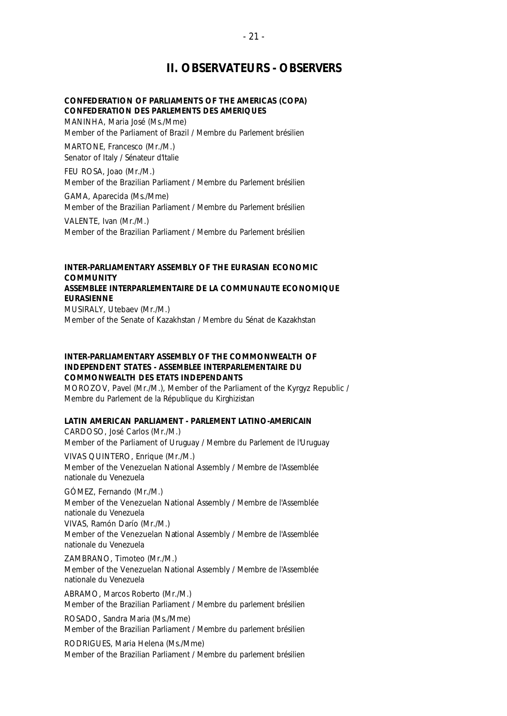### **II. OBSERVATEURS -** *OBSERVERS*

### **CONFEDERATION OF PARLIAMENTS OF THE AMERICAS (COPA)** *CONFEDERATION DES PARLEMENTS DES AMERIQUES*

MANINHA, Maria José (Ms./Mme) Member of the Parliament of Brazil / *Membre du Parlement brésilien*

MARTONE, Francesco (Mr./M.) Senator of Italy / *Sénateur d'Italie*

FEU ROSA, Joao (Mr./M.) Member of the Brazilian Parliament / *Membre du Parlement brésilien*

GAMA, Aparecida (Ms./Mme) Member of the Brazilian Parliament / *Membre du Parlement brésilien*

VALENTE, Ivan (Mr./M.) Member of the Brazilian Parliament / *Membre du Parlement brésilien*

### **INTER-PARLIAMENTARY ASSEMBLY OF THE EURASIAN ECONOMIC COMMUNITY** *ASSEMBLEE INTERPARLEMENTAIRE DE LA COMMUNAUTE ECONOMIQUE EURASIENNE*

MUSIRALY, Utebaev (Mr./M.) Member of the Senate of Kazakhstan / *Membre du Sénat de Kazakhstan*

### **INTER-PARLIAMENTARY ASSEMBLY OF THE COMMONWEALTH OF INDEPENDENT STATES -** *ASSEMBLEE INTERPARLEMENTAIRE DU COMMONWEALTH DES ETATS INDEPENDANTS*

MOROZOV, Pavel (Mr./M.), Member of the Parliament of the Kyrgyz Republic / *Membre du Parlement de la République du Kirghizistan*

### **LATIN AMERICAN PARLIAMENT -** *PARLEMENT LATINO-AMERICAIN*

CARDOSO, José Carlos (Mr./M.) Member of the Parliament of Uruguay / *Membre du Parlement de l'Uruguay* VIVAS QUINTERO, Enrique (Mr./M.)

Member of the Venezuelan National Assembly / *Membre de l'Assemblée nationale du Venezuela*

GÓMEZ, Fernando (Mr./M.) Member of the Venezuelan National Assembly / *Membre de l'Assemblée nationale du Venezuela* VIVAS, Ramón Darío (Mr./M.) Member of the Venezuelan National Assembly / *Membre de l'Assemblée nationale du Venezuela*

ZAMBRANO, Timoteo (Mr./M.) Member of the Venezuelan National Assembly / *Membre de l'Assemblée nationale du Venezuela*

ABRAMO, Marcos Roberto (Mr./M.) Member of the Brazilian Parliament / *Membre du parlement brésilien*

ROSADO, Sandra Maria (Ms./Mme) Member of the Brazilian Parliament / *Membre du parlement brésilien*

RODRIGUES, Maria Helena (Ms./Mme) Member of the Brazilian Parliament / *Membre du parlement brésilien*